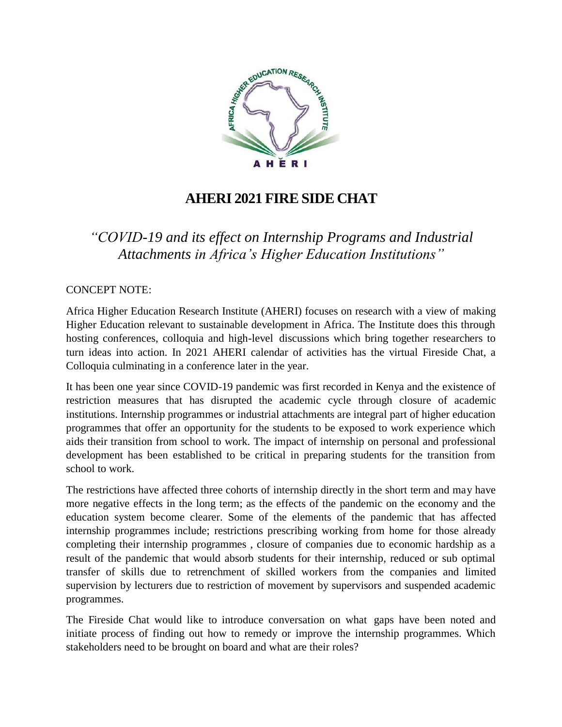

## **AHERI 2021 FIRE SIDE CHAT**

*"COVID-19 and its effect on Internship Programs and Industrial Attachments in Africa's Higher Education Institutions"*

CONCEPT NOTE:

Africa Higher Education Research Institute (AHERI) focuses on research with a view of making Higher Education relevant to sustainable development in Africa. The Institute does this through hosting conferences, colloquia and high-level discussions which bring together researchers to turn ideas into action. In 2021 AHERI calendar of activities has the virtual Fireside Chat, a Colloquia culminating in a conference later in the year.

It has been one year since COVID-19 pandemic was first recorded in Kenya and the existence of restriction measures that has disrupted the academic cycle through closure of academic institutions. Internship programmes or industrial attachments are integral part of higher education programmes that offer an opportunity for the students to be exposed to work experience which aids their transition from school to work. The impact of internship on personal and professional development has been established to be critical in preparing students for the transition from school to work.

The restrictions have affected three cohorts of internship directly in the short term and may have more negative effects in the long term; as the effects of the pandemic on the economy and the education system become clearer. Some of the elements of the pandemic that has affected internship programmes include; restrictions prescribing working from home for those already completing their internship programmes , closure of companies due to economic hardship as a result of the pandemic that would absorb students for their internship, reduced or sub optimal transfer of skills due to retrenchment of skilled workers from the companies and limited supervision by lecturers due to restriction of movement by supervisors and suspended academic programmes.

The Fireside Chat would like to introduce conversation on what gaps have been noted and initiate process of finding out how to remedy or improve the internship programmes. Which stakeholders need to be brought on board and what are their roles?